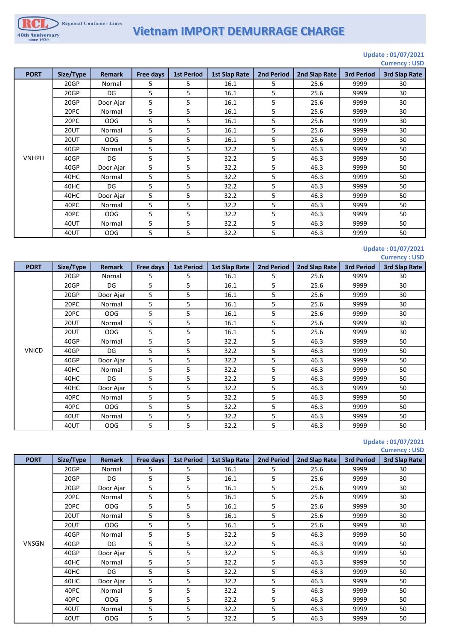40th Anniversary

# **Vietnam IMPORT DEMURRAGE CHARGE**

#### **Update : 01/07/2021 Currency : USD**

| <b>PORT</b>  | Size/Type   | <b>Remark</b> | Free days | <b>1st Period</b> | <b>1st Slap Rate</b> | <b>2nd Period</b> | 2nd Slap Rate | <b>3rd Period</b> | <b>CALLCITY</b> . OUD<br><b>3rd Slap Rate</b> |
|--------------|-------------|---------------|-----------|-------------------|----------------------|-------------------|---------------|-------------------|-----------------------------------------------|
|              | 20GP        | Nornal        | 5         | 5                 | 16.1                 | 5                 | 25.6          | 9999              | 30                                            |
|              | 20GP        | DG            | 5         | 5                 | 16.1                 | 5                 | 25.6          | 9999              | 30                                            |
|              | 20GP        | Door Ajar     | 5         | 5                 | 16.1                 | 5                 | 25.6          | 9999              | 30                                            |
|              | 20PC        | Normal        | 5         | 5                 | 16.1                 | 5                 | 25.6          | 9999              | 30                                            |
|              | 20PC        | OOG           | 5         | 5                 | 16.1                 | 5                 | 25.6          | 9999              | 30                                            |
|              | <b>20UT</b> | Normal        | 5         | 5                 | 16.1                 | 5                 | 25.6          | 9999              | 30                                            |
|              | <b>20UT</b> | OOG           | 5         | 5                 | 16.1                 | 5                 | 25.6          | 9999              | 30                                            |
|              | 40GP        | Normal        | 5         | 5                 | 32.2                 | 5                 | 46.3          | 9999              | 50                                            |
| <b>VNHPH</b> | 40GP        | DG            | 5         | 5                 | 32.2                 | 5                 | 46.3          | 9999              | 50                                            |
|              | 40GP        | Door Ajar     | 5         | 5                 | 32.2                 | 5                 | 46.3          | 9999              | 50                                            |
|              | 40HC        | Normal        | 5         | 5                 | 32.2                 | 5                 | 46.3          | 9999              | 50                                            |
|              | 40HC        | DG            | 5         | 5                 | 32.2                 | 5                 | 46.3          | 9999              | 50                                            |
|              | 40HC        | Door Ajar     | 5         | 5                 | 32.2                 | 5                 | 46.3          | 9999              | 50                                            |
|              | 40PC        | Normal        | 5         | 5                 | 32.2                 | 5                 | 46.3          | 9999              | 50                                            |
|              | 40PC        | OOG           | 5         | 5                 | 32.2                 | 5                 | 46.3          | 9999              | 50                                            |
|              | 40UT        | Normal        | 5         | 5                 | 32.2                 | 5                 | 46.3          | 9999              | 50                                            |
|              | 40UT        | OOG           | 5         | 5                 | 32.2                 | 5                 | 46.3          | 9999              | 50                                            |

### **Update : 01/07/2021 Currency : USD**

| <b>PORT</b>  | Size/Type   | <b>Remark</b> | Free days | <b>1st Period</b> | <b>1st Slap Rate</b> | <b>2nd Period</b> | 2nd Slap Rate | <b>3rd Period</b> | <b>3rd Slap Rate</b> |
|--------------|-------------|---------------|-----------|-------------------|----------------------|-------------------|---------------|-------------------|----------------------|
|              | 20GP        | Nornal        | 5         | 5                 | 16.1                 | 5.                | 25.6          | 9999              | 30                   |
|              | 20GP        | DG            | 5         | 5                 | 16.1                 | 5                 | 25.6          | 9999              | 30                   |
|              | 20GP        | Door Ajar     | 5         | 5                 | 16.1                 | 5                 | 25.6          | 9999              | 30                   |
|              | 20PC        | Normal        | 5         | 5                 | 16.1                 | 5                 | 25.6          | 9999              | 30                   |
|              | 20PC        | OOG           | 5         | 5                 | 16.1                 | 5                 | 25.6          | 9999              | 30                   |
|              | <b>20UT</b> | Normal        | 5         | 5                 | 16.1                 | 5                 | 25.6          | 9999              | 30                   |
| <b>VNICD</b> | <b>20UT</b> | OOG           | 5         | 5                 | 16.1                 | 5                 | 25.6          | 9999              | 30                   |
|              | 40GP        | Normal        | 5         | 5                 | 32.2                 | 5                 | 46.3          | 9999              | 50                   |
|              | 40GP        | DG            | 5         | 5                 | 32.2                 | 5.                | 46.3          | 9999              | 50                   |
|              | 40GP        | Door Ajar     | 5         | 5                 | 32.2                 | 5                 | 46.3          | 9999              | 50                   |
|              | 40HC        | Normal        | 5         | 5                 | 32.2                 | 5                 | 46.3          | 9999              | 50                   |
|              | 40HC        | DG            | 5         | 5                 | 32.2                 | 5                 | 46.3          | 9999              | 50                   |
|              | 40HC        | Door Ajar     | 5         | 5                 | 32.2                 | 5                 | 46.3          | 9999              | 50                   |
|              | 40PC        | Normal        | 5         | 5                 | 32.2                 | 5                 | 46.3          | 9999              | 50                   |
|              | 40PC        | OOG           | 5         | 5                 | 32.2                 | 5                 | 46.3          | 9999              | 50                   |
|              | 40UT        | Normal        | 5         | 5                 | 32.2                 | 5                 | 46.3          | 9999              | 50                   |
|              | 40UT        | OOG           | 5         | 5                 | 32.2                 | 5                 | 46.3          | 9999              | 50                   |

#### **Update : 01/07/2021 Currency : USD**

| <b>PORT</b>  | Size/Type   | <b>Remark</b> | Free days | <b>1st Period</b> | 1st Slap Rate | <b>2nd Period</b> | 2nd Slap Rate | <b>3rd Period</b> | <b>3rd Slap Rate</b> |
|--------------|-------------|---------------|-----------|-------------------|---------------|-------------------|---------------|-------------------|----------------------|
|              | 20GP        | Nornal        | 5         | 5                 | 16.1          | 5                 | 25.6          | 9999              | 30                   |
|              | 20GP        | DG            | 5         | 5                 | 16.1          | 5                 | 25.6          | 9999              | 30                   |
|              | 20GP        | Door Ajar     | 5         | 5                 | 16.1          | 5                 | 25.6          | 9999              | 30                   |
|              | 20PC        | Normal        | 5         | 5                 | 16.1          | 5                 | 25.6          | 9999              | 30                   |
|              | 20PC        | OOG           | 5         | 5                 | 16.1          | 5                 | 25.6          | 9999              | 30                   |
|              | <b>20UT</b> | Normal        | 5         | 5                 | 16.1          | 5                 | 25.6          | 9999              | 30                   |
|              | <b>20UT</b> | OOG           | 5         | 5                 | 16.1          | 5                 | 25.6          | 9999              | 30                   |
| <b>VNSGN</b> | 40GP        | Normal        | 5         | 5                 | 32.2          | 5                 | 46.3          | 9999              | 50                   |
|              | 40GP        | DG            | 5         | 5                 | 32.2          | 5                 | 46.3          | 9999              | 50                   |
|              | 40GP        | Door Ajar     | 5         | 5                 | 32.2          | 5                 | 46.3          | 9999              | 50                   |
|              | 40HC        | Normal        | 5         | 5                 | 32.2          | 5                 | 46.3          | 9999              | 50                   |
|              | 40HC        | DG            | 5         | 5                 | 32.2          | 5                 | 46.3          | 9999              | 50                   |
|              | 40HC        | Door Ajar     | 5         | 5                 | 32.2          | 5                 | 46.3          | 9999              | 50                   |
|              | 40PC        | Normal        | 5         | 5                 | 32.2          | 5                 | 46.3          | 9999              | 50                   |
|              | 40PC        | OOG           | 5         | 5.                | 32.2          | 5                 | 46.3          | 9999              | 50                   |
|              | 40UT        | Normal        | 5         | 5                 | 32.2          | 5                 | 46.3          | 9999              | 50                   |
|              | 40UT        | <b>OOG</b>    | 5         | 5                 | 32.2          | 5                 | 46.3          | 9999              | 50                   |